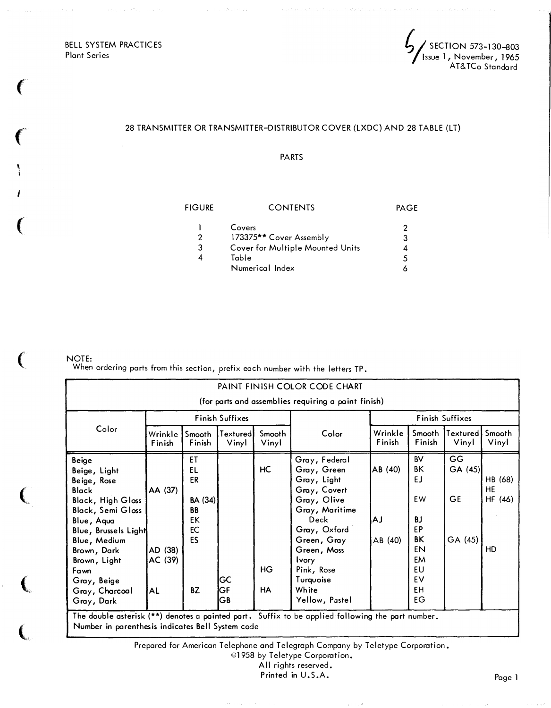BELL SYSTEM PRACTICES Plant Series

 $\left($ 

 $\big($ 

' j

i

(

(

 $\overline{\mathbb{C}}$ 

(

(

 $\zeta$  section 573-130-803 Issue 1, November, 1965 AT& TCo Standard

## 28 TRANSMITTER OR TRANSMITTER-DISTRIBUTOR COVER (LXDC) AND 28 TABLE (LT)

PARTS

| <b>FIGURE</b><br><b>CONTENTS</b> |   |  |  |
|----------------------------------|---|--|--|
| Covers                           | 2 |  |  |
| 173375** Cover Assembly          | 3 |  |  |
| Cover for Multiple Mounted Units |   |  |  |
| Table                            | 5 |  |  |
| Numerical Index                  |   |  |  |
|                                  |   |  |  |

NOI E:

When ordering parts from this section, prefix each number with the letters TP.

| PAINT FINISH COLOR CODE CHART<br>(for parts and assemblies requiring a paint finish)                                                                                                                                                                            |                                            |                                                                |                    |                       |                                                                                                                                                                                                                          |                          |                                                                            |                                      |                                |  |
|-----------------------------------------------------------------------------------------------------------------------------------------------------------------------------------------------------------------------------------------------------------------|--------------------------------------------|----------------------------------------------------------------|--------------------|-----------------------|--------------------------------------------------------------------------------------------------------------------------------------------------------------------------------------------------------------------------|--------------------------|----------------------------------------------------------------------------|--------------------------------------|--------------------------------|--|
| Color                                                                                                                                                                                                                                                           | Finish Suffixes                            |                                                                |                    |                       | Finish Suffixes                                                                                                                                                                                                          |                          |                                                                            |                                      |                                |  |
|                                                                                                                                                                                                                                                                 | Wrinkle<br>Finish                          | Smooth<br>Finish                                               | Texturedl<br>Vinyl | Smooth<br>Vinyl       | Color                                                                                                                                                                                                                    | Wrinkle<br>Finish        | Smooth<br>Finish                                                           | Textured'<br>Vinyl                   | Smooth<br>Vinyl                |  |
| <b>Beige</b><br>Beige, Light<br>Beige, Rose<br><b>Black</b><br><b>Black, High Gloss</b><br><b>Black, Semi Gloss</b><br>Blue, Aqua<br>Blue, Brussels Light<br>Blue, Medium<br>Brown, Dark<br>Brown, Light<br>Fawn<br>Gray, Beige<br>Gray, Charcoal<br>Gray, Dark | AA (37)<br>AD (38)<br>AC (39)<br><b>AL</b> | ΕT<br>EL<br>ER<br>BA (34)<br><b>BB</b><br>EK<br>EC<br>ES<br>BZ | GC<br>GF<br>GΒ     | HC<br>HG<br><b>HA</b> | Gray, Federal<br>Gray, Green<br>Gray, Light<br>Gray, Covert<br>Gray, Olive<br>Gray, Maritime<br>Deck<br>Gray, Oxford<br>Green, Gray<br>Green, Moss<br><b>Ivory</b><br>Pink, Rose<br>Turquoise<br>White<br>Yellow, Pastel | AB (40)<br>АJ<br>AB (40) | BV<br>ΒK<br>EJ<br>EW<br>BJ<br>EP<br>ΒK<br>EN<br>EM<br>EU<br>EV<br>£Η<br>EG | GG<br>GA(45)<br><b>GE</b><br>GA (45) | HB (68)<br>HE<br>HF (46)<br>HD |  |
| The double asterisk (**) denotes a painted part. Suffix to be applied following the part number.<br>Number in parenthesis indicates Bell System code                                                                                                            |                                            |                                                                |                    |                       |                                                                                                                                                                                                                          |                          |                                                                            |                                      |                                |  |

©1958 by Teletype Corporation.

All rights reserved.

Printed in U.S.A.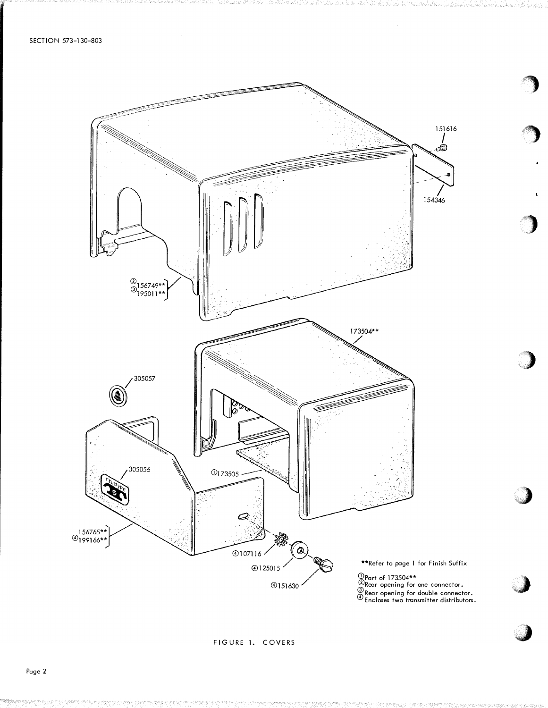SECTION 573-130-803



FIGURE 1. COVERS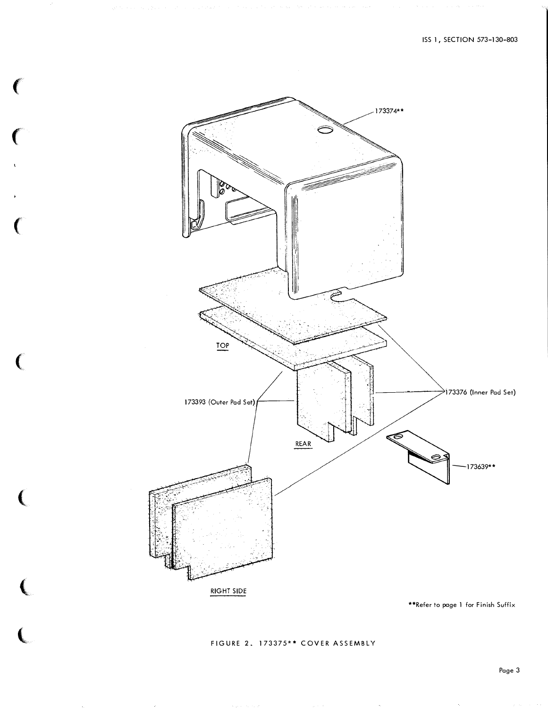

 $\left($  FIGURE 2. 173375\*\* COVER ASSEMBLY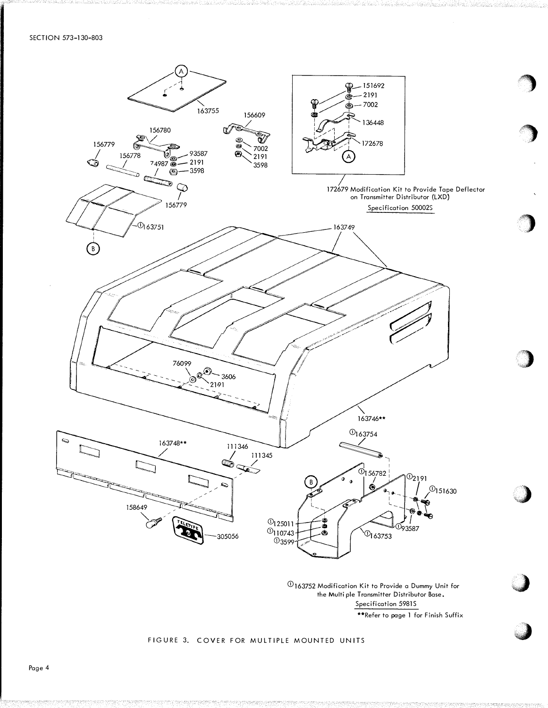

 $\textcircled{\textsc{1}}$  163752 Modification Kit to Provide a Dummy Unit for the Multiple Transmitter Distributor Base. Specification 59815 \*\*Refer to page 1 for Finish Suffix ·�

 $\bigcirc$ 

'�)

)

 $\overline{\phantom{a}}$ 

**d** 

## FIGURE 3. COVER FOR MULTIPLE MOUNTED UNITS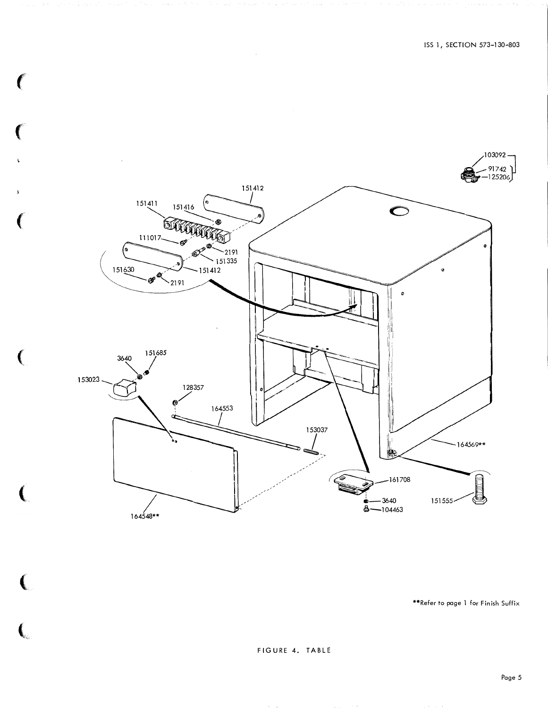

 $\mathcal{L}$ 

f

 $\left($ 

ĺ

 $\big($ 

 $\overline{\mathbf{C}}$ 

\*\*Refer to page 1 for Finish Suffix

FIGURE 4. TABLE